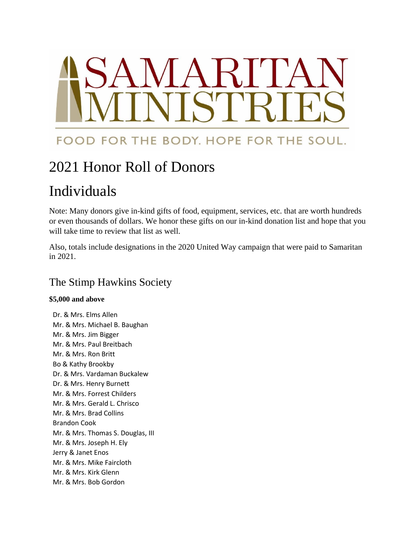# MARIT FOOD FOR THE BODY. HOPE FOR THE SOUL.

# 2021 Honor Roll of Donors

# Individuals

Note: Many donors give in-kind gifts of food, equipment, services, etc. that are worth hundreds or even thousands of dollars. We honor these gifts on our in-kind donation list and hope that you will take time to review that list as well.

Also, totals include designations in the 2020 United Way campaign that were paid to Samaritan in 2021.

# The Stimp Hawkins Society

#### **\$5,000 and above**

Dr. & Mrs. Elms Allen Mr. & Mrs. Michael B. Baughan Mr. & Mrs. Jim Bigger Mr. & Mrs. Paul Breitbach Mr. & Mrs. Ron Britt Bo & Kathy Brookby Dr. & Mrs. Vardaman Buckalew Dr. & Mrs. Henry Burnett Mr. & Mrs. Forrest Childers Mr. & Mrs. Gerald L. Chrisco Mr. & Mrs. Brad Collins Brandon Cook Mr. & Mrs. Thomas S. Douglas, III Mr. & Mrs. Joseph H. Ely Jerry & Janet Enos Mr. & Mrs. Mike Faircloth Mr. & Mrs. Kirk Glenn Mr. & Mrs. Bob Gordon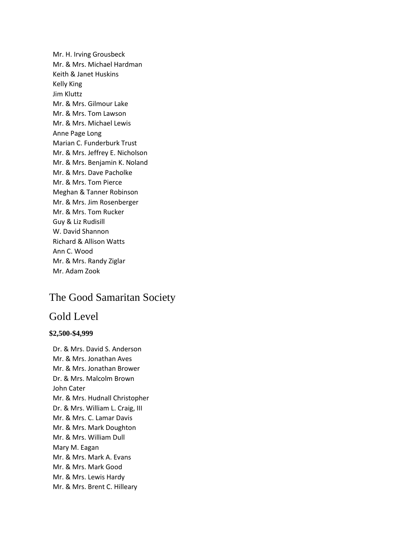Mr. H. Irving Grousbeck Mr. & Mrs. Michael Hardman Keith & Janet Huskins Kelly King Jim Kluttz Mr. & Mrs. Gilmour Lake Mr. & Mrs. Tom Lawson Mr. & Mrs. Michael Lewis Anne Page Long Marian C. Funderburk Trust Mr. & Mrs. Jeffrey E. Nicholson Mr. & Mrs. Benjamin K. Noland Mr. & Mrs. Dave Pacholke Mr. & Mrs. Tom Pierce Meghan & Tanner Robinson Mr. & Mrs. Jim Rosenberger Mr. & Mrs. Tom Rucker Guy & Liz Rudisill W. David Shannon Richard & Allison Watts Ann C. Wood Mr. & Mrs. Randy Ziglar Mr. Adam Zook

# The Good Samaritan Society

## Gold Level

#### **\$2,500-\$4,999**

Dr. & Mrs. David S. Anderson Mr. & Mrs. Jonathan Aves Mr. & Mrs. Jonathan Brower Dr. & Mrs. Malcolm Brown John Cater Mr. & Mrs. Hudnall Christopher Dr. & Mrs. William L. Craig, III Mr. & Mrs. C. Lamar Davis Mr. & Mrs. Mark Doughton Mr. & Mrs. William Dull Mary M. Eagan Mr. & Mrs. Mark A. Evans Mr. & Mrs. Mark Good Mr. & Mrs. Lewis Hardy Mr. & Mrs. Brent C. Hilleary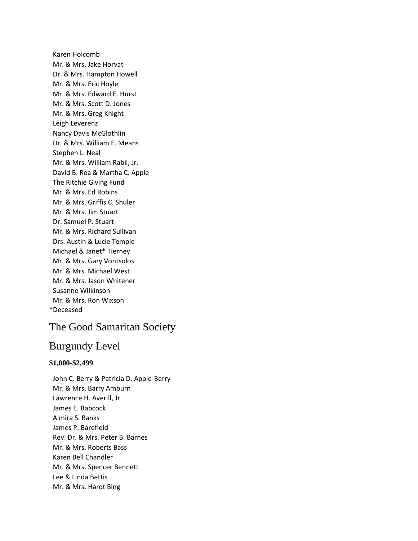Karen Holcomb Mr. & Mrs. Jake Horvat Dr. & Mrs. Hampton Howell Mr. & Mrs. Eric Hoyle Mr. & Mrs. Edward E. Hurst Mr. & Mrs. Scott D. Jones Mr. & Mrs. Greg Knight Leigh Leverenz Nancy Davis McGlothlin Dr. & Mrs. William E. Means Stephen L. Neal Mr. & Mrs. William Rabil, Jr. David B. Rea & Martha C. Apple The Ritchie Giving Fund Mr. & Mrs. Ed Robins Mr. & Mrs. Griffis C. Shuler Mr. & Mrs. Jim Stuart Dr. Samuel P. Stuart Mr. & Mrs. Richard Sullivan Drs. Austin & Lucie Temple Michael & Janet\* Tierney Mr. & Mrs. Gary Vontsolos Mr. & Mrs. Michael West Mr. & Mrs. Jason Whitener Susanne Wilkinson Mr. & Mrs. Ron Wixson \*Deceased

# The Good Samaritan Society

# Burgundy Level

#### **\$1,000-\$2,499**

John C. Berry & Patricia D. Apple-Berry Mr. & Mrs. Barry Amburn Lawrence H. Averill, Jr. James E. Babcock Almira S. Banks James P. Barefield Rev. Dr. & Mrs. Peter B. Barnes Mr. & Mrs. Roberts Bass Karen Bell Chandler Mr. & Mrs. Spencer Bennett Lee & Linda Bettis Mr. & Mrs. Hardt Bing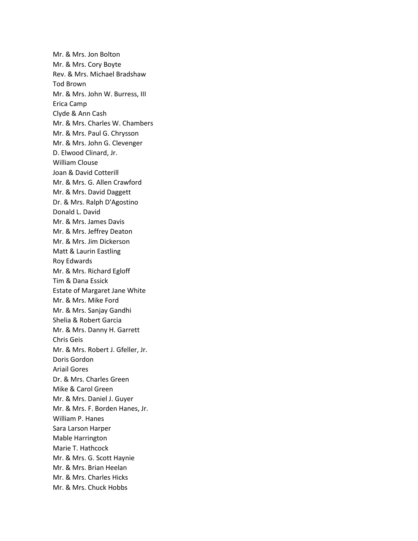Mr. & Mrs. Jon Bolton Mr. & Mrs. Cory Boyte Rev. & Mrs. Michael Bradshaw Tod Brown Mr. & Mrs. John W. Burress, III Erica Camp Clyde & Ann Cash Mr. & Mrs. Charles W. Chambers Mr. & Mrs. Paul G. Chrysson Mr. & Mrs. John G. Clevenger D. Elwood Clinard, Jr. William Clouse Joan & David Cotterill Mr. & Mrs. G. Allen Crawford Mr. & Mrs. David Daggett Dr. & Mrs. Ralph D'Agostino Donald L. David Mr. & Mrs. James Davis Mr. & Mrs. Jeffrey Deaton Mr. & Mrs. Jim Dickerson Matt & Laurin Eastling Roy Edwards Mr. & Mrs. Richard Egloff Tim & Dana Essick Estate of Margaret Jane White Mr. & Mrs. Mike Ford Mr. & Mrs. Sanjay Gandhi Shelia & Robert Garcia Mr. & Mrs. Danny H. Garrett Chris Geis Mr. & Mrs. Robert J. Gfeller, Jr. Doris Gordon Ariail Gores Dr. & Mrs. Charles Green Mike & Carol Green Mr. & Mrs. Daniel J. Guyer Mr. & Mrs. F. Borden Hanes, Jr. William P. Hanes Sara Larson Harper Mable Harrington Marie T. Hathcock Mr. & Mrs. G. Scott Haynie Mr. & Mrs. Brian Heelan Mr. & Mrs. Charles Hicks Mr. & Mrs. Chuck Hobbs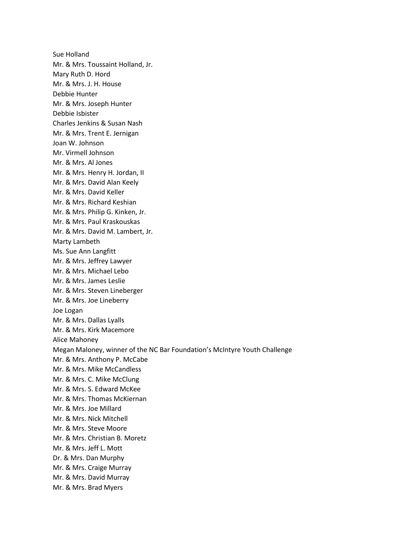Sue Holland Mr. & Mrs. Toussaint Holland, Jr. Mary Ruth D. Hord Mr. & Mrs. J. H. House Debbie Hunter Mr. & Mrs. Joseph Hunter Debbie Isbister Charles Jenkins & Susan Nash Mr. & Mrs. Trent E. Jernigan Joan W. Johnson Mr. Virmell Johnson Mr. & Mrs. Al Jones Mr. & Mrs. Henry H. Jordan, II Mr. & Mrs. David Alan Keely Mr. & Mrs. David Keller Mr. & Mrs. Richard Keshian Mr. & Mrs. Philip G. Kinken, Jr. Mr. & Mrs. Paul Kraskouskas Mr. & Mrs. David M. Lambert, Jr. Marty Lambeth Ms. Sue Ann Langfitt Mr. & Mrs. Jeffrey Lawyer Mr. & Mrs. Michael Lebo Mr. & Mrs. James Leslie Mr. & Mrs. Steven Lineberger Mr. & Mrs. Joe Lineberry Joe Logan Mr. & Mrs. Dallas Lyalls Mr. & Mrs. Kirk Macemore Alice Mahoney Megan Maloney, winner of the NC Bar Foundation's McIntyre Youth Challenge Mr. & Mrs. Anthony P. McCabe Mr. & Mrs. Mike McCandless Mr. & Mrs. C. Mike McClung Mr. & Mrs. S. Edward McKee Mr. & Mrs. Thomas McKiernan Mr. & Mrs. Joe Millard Mr. & Mrs. Nick Mitchell Mr. & Mrs. Steve Moore Mr. & Mrs. Christian B. Moretz Mr. & Mrs. Jeff L. Mott Dr. & Mrs. Dan Murphy Mr. & Mrs. Craige Murray Mr. & Mrs. David Murray Mr. & Mrs. Brad Myers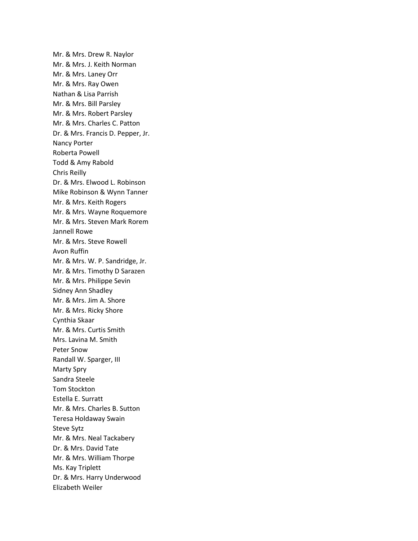Mr. & Mrs. Drew R. Naylor Mr. & Mrs. J. Keith Norman Mr. & Mrs. Laney Orr Mr. & Mrs. Ray Owen Nathan & Lisa Parrish Mr. & Mrs. Bill Parsley Mr. & Mrs. Robert Parsley Mr. & Mrs. Charles C. Patton Dr. & Mrs. Francis D. Pepper, Jr. Nancy Porter Roberta Powell Todd & Amy Rabold Chris Reilly Dr. & Mrs. Elwood L. Robinson Mike Robinson & Wynn Tanner Mr. & Mrs. Keith Rogers Mr. & Mrs. Wayne Roquemore Mr. & Mrs. Steven Mark Rorem Jannell Rowe Mr. & Mrs. Steve Rowell Avon Ruffin Mr. & Mrs. W. P. Sandridge, Jr. Mr. & Mrs. Timothy D Sarazen Mr. & Mrs. Philippe Sevin Sidney Ann Shadley Mr. & Mrs. Jim A. Shore Mr. & Mrs. Ricky Shore Cynthia Skaar Mr. & Mrs. Curtis Smith Mrs. Lavina M. Smith Peter Snow Randall W. Sparger, III Marty Spry Sandra Steele Tom Stockton Estella E. Surratt Mr. & Mrs. Charles B. Sutton Teresa Holdaway Swain Steve Sytz Mr. & Mrs. Neal Tackabery Dr. & Mrs. David Tate Mr. & Mrs. William Thorpe Ms. Kay Triplett Dr. & Mrs. Harry Underwood Elizabeth Weiler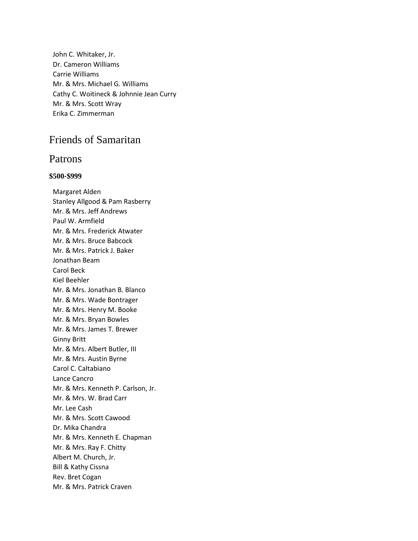John C. Whitaker, Jr. Dr. Cameron Williams Carrie Williams Mr. & Mrs. Michael G. Williams Cathy C. Woitineck & Johnnie Jean Curry Mr. & Mrs. Scott Wray Erika C. Zimmerman

# Friends of Samaritan

### Patrons

#### **\$500-\$999**

Margaret Alden Stanley Allgood & Pam Rasberry Mr. & Mrs. Jeff Andrews Paul W. Armfield Mr. & Mrs. Frederick Atwater Mr. & Mrs. Bruce Babcock Mr. & Mrs. Patrick J. Baker Jonathan Beam Carol Beck Kiel Beehler Mr. & Mrs. Jonathan B. Blanco Mr. & Mrs. Wade Bontrager Mr. & Mrs. Henry M. Booke Mr. & Mrs. Bryan Bowles Mr. & Mrs. James T. Brewer Ginny Britt Mr. & Mrs. Albert Butler, III Mr. & Mrs. Austin Byrne Carol C. Caltabiano Lance Cancro Mr. & Mrs. Kenneth P. Carlson, Jr. Mr. & Mrs. W. Brad Carr Mr. Lee Cash Mr. & Mrs. Scott Cawood Dr. Mika Chandra Mr. & Mrs. Kenneth E. Chapman Mr. & Mrs. Ray F. Chitty Albert M. Church, Jr. Bill & Kathy Cissna Rev. Bret Cogan Mr. & Mrs. Patrick Craven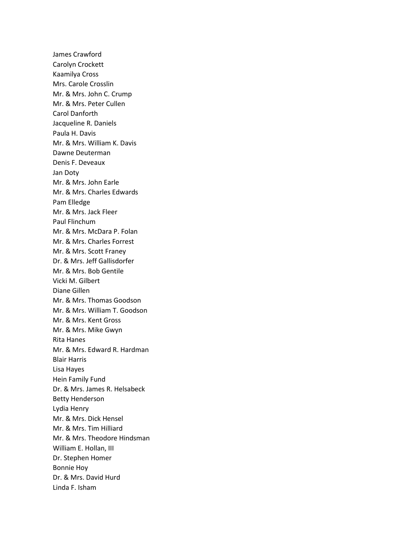James Crawford Carolyn Crockett Kaamilya Cross Mrs. Carole Crosslin Mr. & Mrs. John C. Crump Mr. & Mrs. Peter Cullen Carol Danforth Jacqueline R. Daniels Paula H. Davis Mr. & Mrs. William K. Davis Dawne Deuterman Denis F. Deveaux Jan Doty Mr. & Mrs. John Earle Mr. & Mrs. Charles Edwards Pam Elledge Mr. & Mrs. Jack Fleer Paul Flinchum Mr. & Mrs. McDara P. Folan Mr. & Mrs. Charles Forrest Mr. & Mrs. Scott Franey Dr. & Mrs. Jeff Gallisdorfer Mr. & Mrs. Bob Gentile Vicki M. Gilbert Diane Gillen Mr. & Mrs. Thomas Goodson Mr. & Mrs. William T. Goodson Mr. & Mrs. Kent Gross Mr. & Mrs. Mike Gwyn Rita Hanes Mr. & Mrs. Edward R. Hardman Blair Harris Lisa Hayes Hein Family Fund Dr. & Mrs. James R. Helsabeck Betty Henderson Lydia Henry Mr. & Mrs. Dick Hensel Mr. & Mrs. Tim Hilliard Mr. & Mrs. Theodore Hindsman William E. Hollan, III Dr. Stephen Homer Bonnie Hoy Dr. & Mrs. David Hurd Linda F. Isham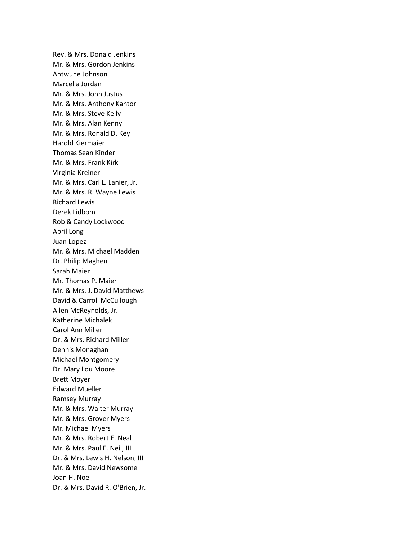Rev. & Mrs. Donald Jenkins Mr. & Mrs. Gordon Jenkins Antwune Johnson Marcella Jordan Mr. & Mrs. John Justus Mr. & Mrs. Anthony Kantor Mr. & Mrs. Steve Kelly Mr. & Mrs. Alan Kenny Mr. & Mrs. Ronald D. Key Harold Kiermaier Thomas Sean Kinder Mr. & Mrs. Frank Kirk Virginia Kreiner Mr. & Mrs. Carl L. Lanier, Jr. Mr. & Mrs. R. Wayne Lewis Richard Lewis Derek Lidbom Rob & Candy Lockwood April Long Juan Lopez Mr. & Mrs. Michael Madden Dr. Philip Maghen Sarah Maier Mr. Thomas P. Maier Mr. & Mrs. J. David Matthews David & Carroll McCullough Allen McReynolds, Jr. Katherine Michalek Carol Ann Miller Dr. & Mrs. Richard Miller Dennis Monaghan Michael Montgomery Dr. Mary Lou Moore Brett Moyer Edward Mueller Ramsey Murray Mr. & Mrs. Walter Murray Mr. & Mrs. Grover Myers Mr. Michael Myers Mr. & Mrs. Robert E. Neal Mr. & Mrs. Paul E. Neil, III Dr. & Mrs. Lewis H. Nelson, III Mr. & Mrs. David Newsome Joan H. Noell Dr. & Mrs. David R. O'Brien, Jr.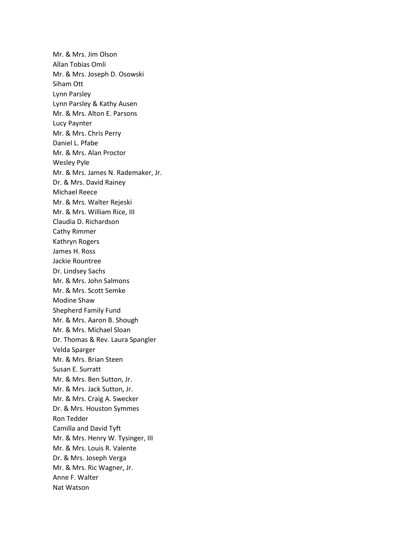Mr. & Mrs. Jim Olson Allan Tobias Omli Mr. & Mrs. Joseph D. Osowski Siham Ott Lynn Parsley Lynn Parsley & Kathy Ausen Mr. & Mrs. Alton E. Parsons Lucy Paynter Mr. & Mrs. Chris Perry Daniel L. Pfabe Mr. & Mrs. Alan Proctor Wesley Pyle Mr. & Mrs. James N. Rademaker, Jr. Dr. & Mrs. David Rainey Michael Reece Mr. & Mrs. Walter Rejeski Mr. & Mrs. William Rice, III Claudia D. Richardson Cathy Rimmer Kathryn Rogers James H. Ross Jackie Rountree Dr. Lindsey Sachs Mr. & Mrs. John Salmons Mr. & Mrs. Scott Semke Modine Shaw Shepherd Family Fund Mr. & Mrs. Aaron B. Shough Mr. & Mrs. Michael Sloan Dr. Thomas & Rev. Laura Spangler Velda Sparger Mr. & Mrs. Brian Steen Susan E. Surratt Mr. & Mrs. Ben Sutton, Jr. Mr. & Mrs. Jack Sutton, Jr. Mr. & Mrs. Craig A. Swecker Dr. & Mrs. Houston Symmes Ron Tedder Camilla and David Tyft Mr. & Mrs. Henry W. Tysinger, III Mr. & Mrs. Louis R. Valente Dr. & Mrs. Joseph Verga Mr. & Mrs. Ric Wagner, Jr. Anne F. Walter Nat Watson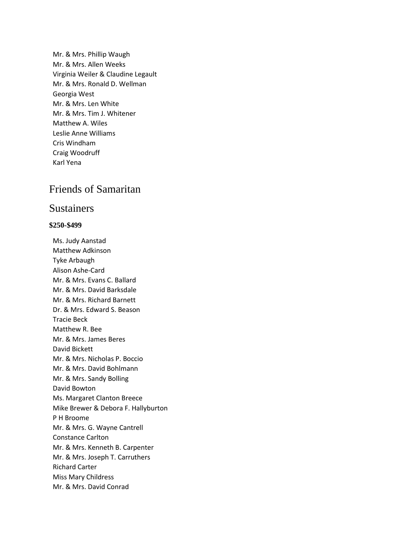Mr. & Mrs. Phillip Waugh Mr. & Mrs. Allen Weeks Virginia Weiler & Claudine Legault Mr. & Mrs. Ronald D. Wellman Georgia West Mr. & Mrs. Len White Mr. & Mrs. Tim J. Whitener Matthew A. Wiles Leslie Anne Williams Cris Windham Craig Woodruff Karl Yena

# Friends of Samaritan

## Sustainers

#### **\$250-\$499**

Ms. Judy Aanstad Matthew Adkinson Tyke Arbaugh Alison Ashe-Card Mr. & Mrs. Evans C. Ballard Mr. & Mrs. David Barksdale Mr. & Mrs. Richard Barnett Dr. & Mrs. Edward S. Beason Tracie Beck Matthew R. Bee Mr. & Mrs. James Beres David Bickett Mr. & Mrs. Nicholas P. Boccio Mr. & Mrs. David Bohlmann Mr. & Mrs. Sandy Bolling David Bowton Ms. Margaret Clanton Breece Mike Brewer & Debora F. Hallyburton P H Broome Mr. & Mrs. G. Wayne Cantrell Constance Carlton Mr. & Mrs. Kenneth B. Carpenter Mr. & Mrs. Joseph T. Carruthers Richard Carter Miss Mary Childress Mr. & Mrs. David Conrad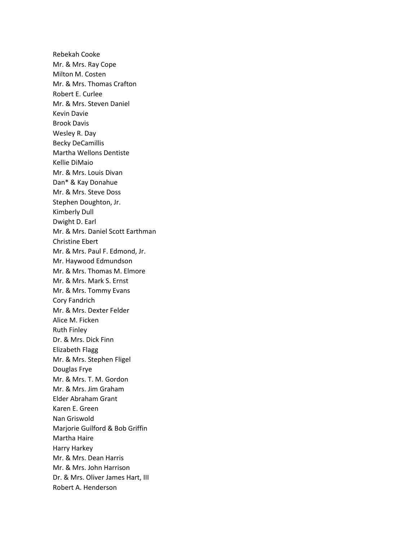Rebekah Cooke Mr. & Mrs. Ray Cope Milton M. Costen Mr. & Mrs. Thomas Crafton Robert E. Curlee Mr. & Mrs. Steven Daniel Kevin Davie Brook Davis Wesley R. Day Becky DeCamillis Martha Wellons Dentiste Kellie DiMaio Mr. & Mrs. Louis Divan Dan\* & Kay Donahue Mr. & Mrs. Steve Doss Stephen Doughton, Jr. Kimberly Dull Dwight D. Earl Mr. & Mrs. Daniel Scott Earthman Christine Ebert Mr. & Mrs. Paul F. Edmond, Jr. Mr. Haywood Edmundson Mr. & Mrs. Thomas M. Elmore Mr. & Mrs. Mark S. Ernst Mr. & Mrs. Tommy Evans Cory Fandrich Mr. & Mrs. Dexter Felder Alice M. Ficken Ruth Finley Dr. & Mrs. Dick Finn Elizabeth Flagg Mr. & Mrs. Stephen Fligel Douglas Frye Mr. & Mrs. T. M. Gordon Mr. & Mrs. Jim Graham Elder Abraham Grant Karen E. Green Nan Griswold Marjorie Guilford & Bob Griffin Martha Haire Harry Harkey Mr. & Mrs. Dean Harris Mr. & Mrs. John Harrison Dr. & Mrs. Oliver James Hart, III Robert A. Henderson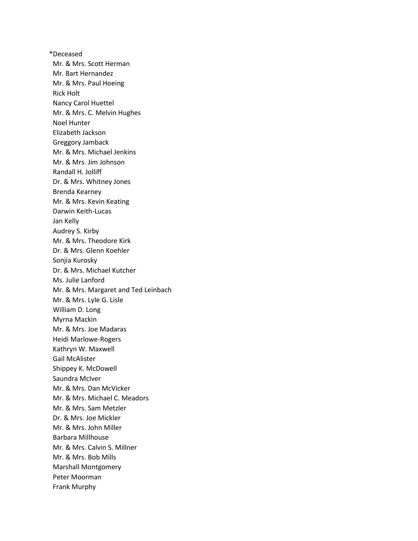\*Deceased Mr. & Mrs. Scott Herman Mr. Bart Hernandez Mr. & Mrs. Paul Hoeing Rick Holt Nancy Carol Huettel Mr. & Mrs. C. Melvin Hughes Noel Hunter Elizabeth Jackson Greggory Jamback Mr. & Mrs. Michael Jenkins Mr. & Mrs. Jim Johnson Randall H. Jolliff Dr. & Mrs. Whitney Jones Brenda Kearney Mr. & Mrs. Kevin Keating Darwin Keith-Lucas Jan Kelly Audrey S. Kirby Mr. & Mrs. Theodore Kirk Dr. & Mrs. Glenn Koehler Sonjia Kurosky Dr. & Mrs. Michael Kutcher Ms. Julie Lanford Mr. & Mrs. Margaret and Ted Leinbach Mr. & Mrs. Lyle G. Lisle William D. Long Myrna Mackin Mr. & Mrs. Joe Madaras Heidi Marlowe-Rogers Kathryn W. Maxwell Gail McAlister Shippey K. McDowell Saundra McIver Mr. & Mrs. Dan McVicker Mr. & Mrs. Michael C. Meadors Mr. & Mrs. Sam Metzler Dr. & Mrs. Joe Mickler Mr. & Mrs. John Miller Barbara Millhouse Mr. & Mrs. Calvin S. Millner Mr. & Mrs. Bob Mills Marshall Montgomery Peter Moorman Frank Murphy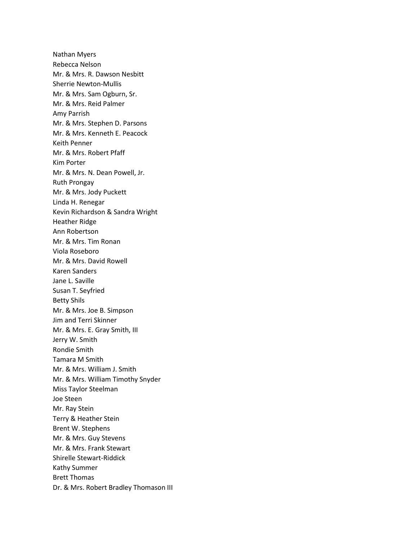Nathan Myers Rebecca Nelson Mr. & Mrs. R. Dawson Nesbitt Sherrie Newton-Mullis Mr. & Mrs. Sam Ogburn, Sr. Mr. & Mrs. Reid Palmer Amy Parrish Mr. & Mrs. Stephen D. Parsons Mr. & Mrs. Kenneth E. Peacock Keith Penner Mr. & Mrs. Robert Pfaff Kim Porter Mr. & Mrs. N. Dean Powell, Jr. Ruth Prongay Mr. & Mrs. Jody Puckett Linda H. Renegar Kevin Richardson & Sandra Wright Heather Ridge Ann Robertson Mr. & Mrs. Tim Ronan Viola Roseboro Mr. & Mrs. David Rowell Karen Sanders Jane L. Saville Susan T. Seyfried Betty Shils Mr. & Mrs. Joe B. Simpson Jim and Terri Skinner Mr. & Mrs. E. Gray Smith, III Jerry W. Smith Rondie Smith Tamara M Smith Mr. & Mrs. William J. Smith Mr. & Mrs. William Timothy Snyder Miss Taylor Steelman Joe Steen Mr. Ray Stein Terry & Heather Stein Brent W. Stephens Mr. & Mrs. Guy Stevens Mr. & Mrs. Frank Stewart Shirelle Stewart-Riddick Kathy Summer Brett Thomas Dr. & Mrs. Robert Bradley Thomason III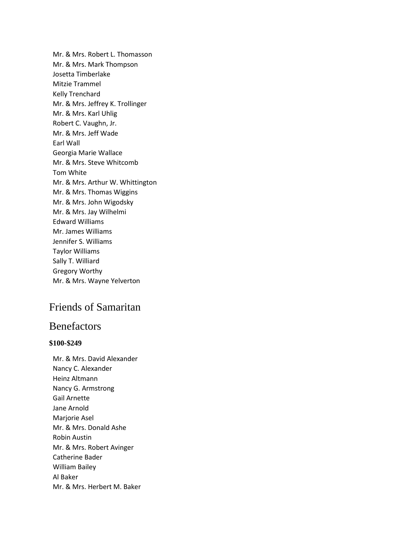Mr. & Mrs. Robert L. Thomasson Mr. & Mrs. Mark Thompson Josetta Timberlake Mitzie Trammel Kelly Trenchard Mr. & Mrs. Jeffrey K. Trollinger Mr. & Mrs. Karl Uhlig Robert C. Vaughn, Jr. Mr. & Mrs. Jeff Wade Earl Wall Georgia Marie Wallace Mr. & Mrs. Steve Whitcomb Tom White Mr. & Mrs. Arthur W. Whittington Mr. & Mrs. Thomas Wiggins Mr. & Mrs. John Wigodsky Mr. & Mrs. Jay Wilhelmi Edward Williams Mr. James Williams Jennifer S. Williams Taylor Williams Sally T. Williard Gregory Worthy Mr. & Mrs. Wayne Yelverton

# Friends of Samaritan

# Benefactors

#### **\$100-\$249**

Mr. & Mrs. David Alexander Nancy C. Alexander Heinz Altmann Nancy G. Armstrong Gail Arnette Jane Arnold Marjorie Asel Mr. & Mrs. Donald Ashe Robin Austin Mr. & Mrs. Robert Avinger Catherine Bader William Bailey Al Baker Mr. & Mrs. Herbert M. Baker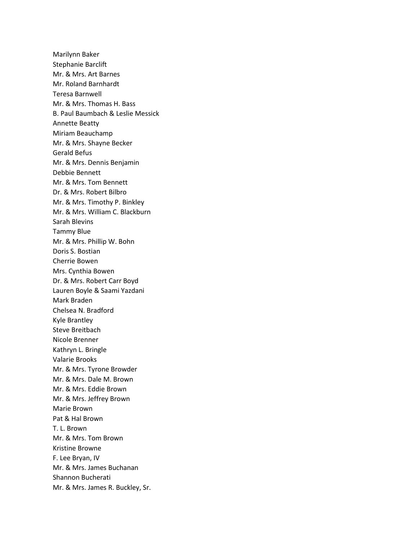Marilynn Baker Stephanie Barclift Mr. & Mrs. Art Barnes Mr. Roland Barnhardt Teresa Barnwell Mr. & Mrs. Thomas H. Bass B. Paul Baumbach & Leslie Messick Annette Beatty Miriam Beauchamp Mr. & Mrs. Shayne Becker Gerald Befus Mr. & Mrs. Dennis Benjamin Debbie Bennett Mr. & Mrs. Tom Bennett Dr. & Mrs. Robert Bilbro Mr. & Mrs. Timothy P. Binkley Mr. & Mrs. William C. Blackburn Sarah Blevins Tammy Blue Mr. & Mrs. Phillip W. Bohn Doris S. Bostian Cherrie Bowen Mrs. Cynthia Bowen Dr. & Mrs. Robert Carr Boyd Lauren Boyle & Saami Yazdani Mark Braden Chelsea N. Bradford Kyle Brantley Steve Breitbach Nicole Brenner Kathryn L. Bringle Valarie Brooks Mr. & Mrs. Tyrone Browder Mr. & Mrs. Dale M. Brown Mr. & Mrs. Eddie Brown Mr. & Mrs. Jeffrey Brown Marie Brown Pat & Hal Brown T. L. Brown Mr. & Mrs. Tom Brown Kristine Browne F. Lee Bryan, IV Mr. & Mrs. James Buchanan Shannon Bucherati Mr. & Mrs. James R. Buckley, Sr.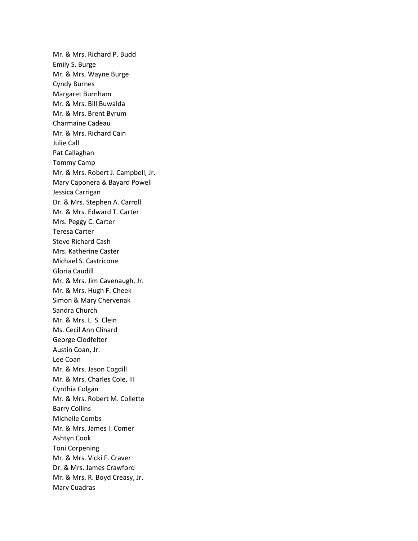Mr. & Mrs. Richard P. Budd Emily S. Burge Mr. & Mrs. Wayne Burge Cyndy Burnes Margaret Burnham Mr. & Mrs. Bill Buwalda Mr. & Mrs. Brent Byrum Charmaine Cadeau Mr. & Mrs. Richard Cain Julie Call Pat Callaghan Tommy Camp Mr. & Mrs. Robert J. Campbell, Jr. Mary Caponera & Bayard Powell Jessica Carrigan Dr. & Mrs. Stephen A. Carroll Mr. & Mrs. Edward T. Carter Mrs. Peggy C. Carter Teresa Carter Steve Richard Cash Mrs. Katherine Caster Michael S. Castricone Gloria Caudill Mr. & Mrs. Jim Cavenaugh, Jr. Mr. & Mrs. Hugh F. Cheek Simon & Mary Chervenak Sandra Church Mr. & Mrs. L. S. Clein Ms. Cecil Ann Clinard George Clodfelter Austin Coan, Jr. Lee Coan Mr. & Mrs. Jason Cogdill Mr. & Mrs. Charles Cole, III Cynthia Colgan Mr. & Mrs. Robert M. Collette Barry Collins Michelle Combs Mr. & Mrs. James I. Comer Ashtyn Cook Toni Corpening Mr. & Mrs. Vicki F. Craver Dr. & Mrs. James Crawford Mr. & Mrs. R. Boyd Creasy, Jr. Mary Cuadras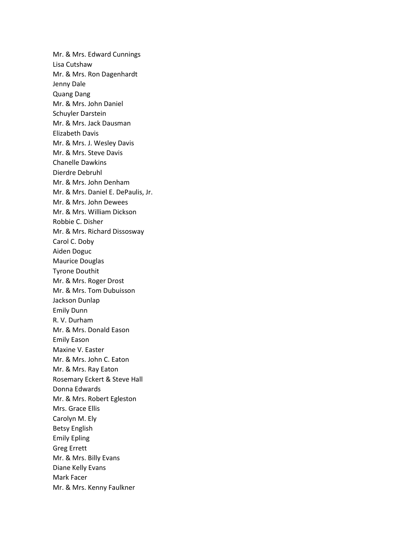Mr. & Mrs. Edward Cunnings Lisa Cutshaw Mr. & Mrs. Ron Dagenhardt Jenny Dale Quang Dang Mr. & Mrs. John Daniel Schuyler Darstein Mr. & Mrs. Jack Dausman Elizabeth Davis Mr. & Mrs. J. Wesley Davis Mr. & Mrs. Steve Davis Chanelle Dawkins Dierdre Debruhl Mr. & Mrs. John Denham Mr. & Mrs. Daniel E. DePaulis, Jr. Mr. & Mrs. John Dewees Mr. & Mrs. William Dickson Robbie C. Disher Mr. & Mrs. Richard Dissosway Carol C. Doby Aiden Doguc Maurice Douglas Tyrone Douthit Mr. & Mrs. Roger Drost Mr. & Mrs. Tom Dubuisson Jackson Dunlap Emily Dunn R. V. Durham Mr. & Mrs. Donald Eason Emily Eason Maxine V. Easter Mr. & Mrs. John C. Eaton Mr. & Mrs. Ray Eaton Rosemary Eckert & Steve Hall Donna Edwards Mr. & Mrs. Robert Egleston Mrs. Grace Ellis Carolyn M. Ely Betsy English Emily Epling Greg Errett Mr. & Mrs. Billy Evans Diane Kelly Evans Mark Facer Mr. & Mrs. Kenny Faulkner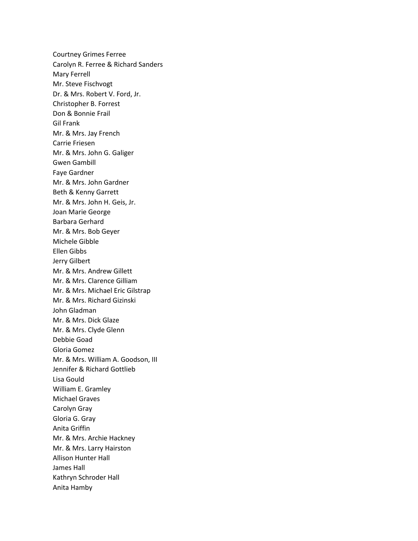Courtney Grimes Ferree Carolyn R. Ferree & Richard Sanders Mary Ferrell Mr. Steve Fischvogt Dr. & Mrs. Robert V. Ford, Jr. Christopher B. Forrest Don & Bonnie Frail Gil Frank Mr. & Mrs. Jay French Carrie Friesen Mr. & Mrs. John G. Galiger Gwen Gambill Faye Gardner Mr. & Mrs. John Gardner Beth & Kenny Garrett Mr. & Mrs. John H. Geis, Jr. Joan Marie George Barbara Gerhard Mr. & Mrs. Bob Geyer Michele Gibble Ellen Gibbs Jerry Gilbert Mr. & Mrs. Andrew Gillett Mr. & Mrs. Clarence Gilliam Mr. & Mrs. Michael Eric Gilstrap Mr. & Mrs. Richard Gizinski John Gladman Mr. & Mrs. Dick Glaze Mr. & Mrs. Clyde Glenn Debbie Goad Gloria Gomez Mr. & Mrs. William A. Goodson, III Jennifer & Richard Gottlieb Lisa Gould William E. Gramley Michael Graves Carolyn Gray Gloria G. Gray Anita Griffin Mr. & Mrs. Archie Hackney Mr. & Mrs. Larry Hairston Allison Hunter Hall James Hall Kathryn Schroder Hall Anita Hamby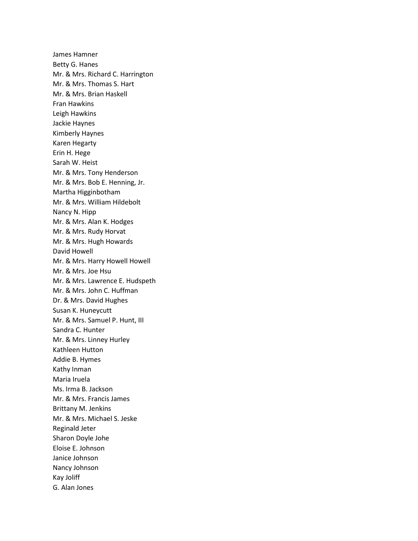James Hamner Betty G. Hanes Mr. & Mrs. Richard C. Harrington Mr. & Mrs. Thomas S. Hart Mr. & Mrs. Brian Haskell Fran Hawkins Leigh Hawkins Jackie Haynes Kimberly Haynes Karen Hegarty Erin H. Hege Sarah W. Heist Mr. & Mrs. Tony Henderson Mr. & Mrs. Bob E. Henning, Jr. Martha Higginbotham Mr. & Mrs. William Hildebolt Nancy N. Hipp Mr. & Mrs. Alan K. Hodges Mr. & Mrs. Rudy Horvat Mr. & Mrs. Hugh Howards David Howell Mr. & Mrs. Harry Howell Howell Mr. & Mrs. Joe Hsu Mr. & Mrs. Lawrence E. Hudspeth Mr. & Mrs. John C. Huffman Dr. & Mrs. David Hughes Susan K. Huneycutt Mr. & Mrs. Samuel P. Hunt, III Sandra C. Hunter Mr. & Mrs. Linney Hurley Kathleen Hutton Addie B. Hymes Kathy Inman Maria Iruela Ms. Irma B. Jackson Mr. & Mrs. Francis James Brittany M. Jenkins Mr. & Mrs. Michael S. Jeske Reginald Jeter Sharon Doyle Johe Eloise E. Johnson Janice Johnson Nancy Johnson Kay Joliff G. Alan Jones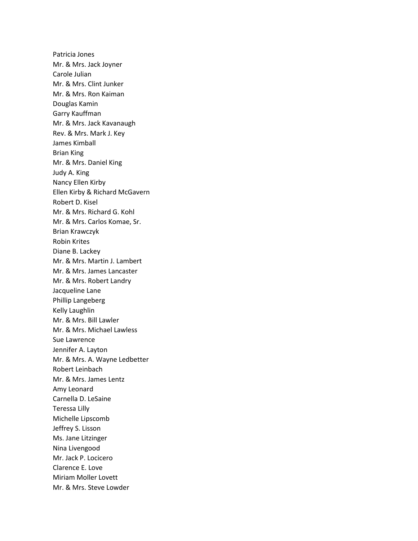Patricia Jones Mr. & Mrs. Jack Joyner Carole Julian Mr. & Mrs. Clint Junker Mr. & Mrs. Ron Kaiman Douglas Kamin Garry Kauffman Mr. & Mrs. Jack Kavanaugh Rev. & Mrs. Mark J. Key James Kimball Brian King Mr. & Mrs. Daniel King Judy A. King Nancy Ellen Kirby Ellen Kirby & Richard McGavern Robert D. Kisel Mr. & Mrs. Richard G. Kohl Mr. & Mrs. Carlos Komae, Sr. Brian Krawczyk Robin Krites Diane B. Lackey Mr. & Mrs. Martin J. Lambert Mr. & Mrs. James Lancaster Mr. & Mrs. Robert Landry Jacqueline Lane Phillip Langeberg Kelly Laughlin Mr. & Mrs. Bill Lawler Mr. & Mrs. Michael Lawless Sue Lawrence Jennifer A. Layton Mr. & Mrs. A. Wayne Ledbetter Robert Leinbach Mr. & Mrs. James Lentz Amy Leonard Carnella D. LeSaine Teressa Lilly Michelle Lipscomb Jeffrey S. Lisson Ms. Jane Litzinger Nina Livengood Mr. Jack P. Locicero Clarence E. Love Miriam Moller Lovett Mr. & Mrs. Steve Lowder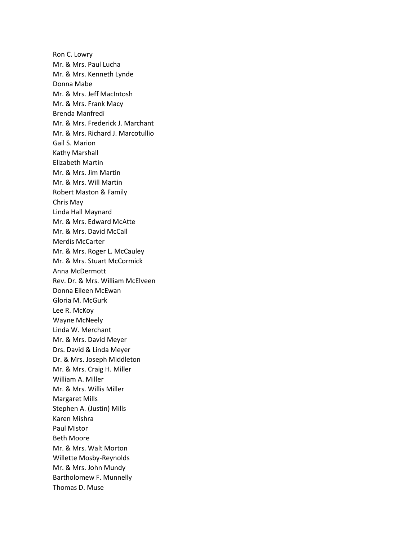Ron C. Lowry Mr. & Mrs. Paul Lucha Mr. & Mrs. Kenneth Lynde Donna Mabe Mr. & Mrs. Jeff MacIntosh Mr. & Mrs. Frank Macy Brenda Manfredi Mr. & Mrs. Frederick J. Marchant Mr. & Mrs. Richard J. Marcotullio Gail S. Marion Kathy Marshall Elizabeth Martin Mr. & Mrs. Jim Martin Mr. & Mrs. Will Martin Robert Maston & Family Chris May Linda Hall Maynard Mr. & Mrs. Edward McAtte Mr. & Mrs. David McCall Merdis McCarter Mr. & Mrs. Roger L. McCauley Mr. & Mrs. Stuart McCormick Anna McDermott Rev. Dr. & Mrs. William McElveen Donna Eileen McEwan Gloria M. McGurk Lee R. McKoy Wayne McNeely Linda W. Merchant Mr. & Mrs. David Meyer Drs. David & Linda Meyer Dr. & Mrs. Joseph Middleton Mr. & Mrs. Craig H. Miller William A. Miller Mr. & Mrs. Willis Miller Margaret Mills Stephen A. (Justin) Mills Karen Mishra Paul Mistor Beth Moore Mr. & Mrs. Walt Morton Willette Mosby-Reynolds Mr. & Mrs. John Mundy Bartholomew F. Munnelly Thomas D. Muse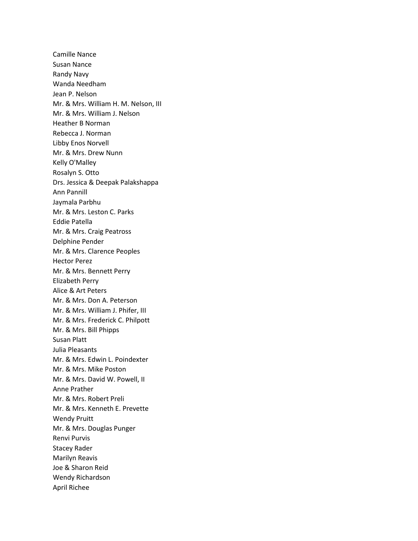Camille Nance Susan Nance Randy Navy Wanda Needham Jean P. Nelson Mr. & Mrs. William H. M. Nelson, III Mr. & Mrs. William J. Nelson Heather B Norman Rebecca J. Norman Libby Enos Norvell Mr. & Mrs. Drew Nunn Kelly O'Malley Rosalyn S. Otto Drs. Jessica & Deepak Palakshappa Ann Pannill Jaymala Parbhu Mr. & Mrs. Leston C. Parks Eddie Patella Mr. & Mrs. Craig Peatross Delphine Pender Mr. & Mrs. Clarence Peoples Hector Perez Mr. & Mrs. Bennett Perry Elizabeth Perry Alice & Art Peters Mr. & Mrs. Don A. Peterson Mr. & Mrs. William J. Phifer, III Mr. & Mrs. Frederick C. Philpott Mr. & Mrs. Bill Phipps Susan Platt Julia Pleasants Mr. & Mrs. Edwin L. Poindexter Mr. & Mrs. Mike Poston Mr. & Mrs. David W. Powell, II Anne Prather Mr. & Mrs. Robert Preli Mr. & Mrs. Kenneth E. Prevette Wendy Pruitt Mr. & Mrs. Douglas Punger Renvi Purvis Stacey Rader Marilyn Reavis Joe & Sharon Reid Wendy Richardson April Richee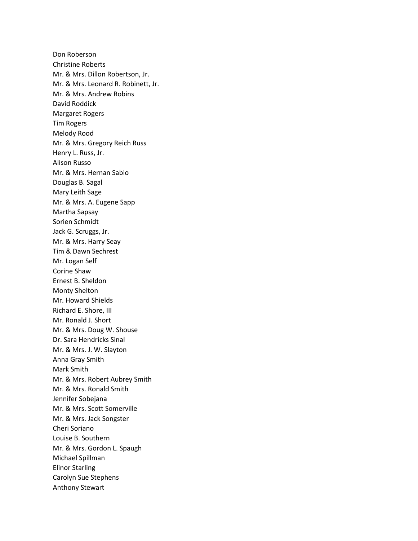Don Roberson Christine Roberts Mr. & Mrs. Dillon Robertson, Jr. Mr. & Mrs. Leonard R. Robinett, Jr. Mr. & Mrs. Andrew Robins David Roddick Margaret Rogers Tim Rogers Melody Rood Mr. & Mrs. Gregory Reich Russ Henry L. Russ, Jr. Alison Russo Mr. & Mrs. Hernan Sabio Douglas B. Sagal Mary Leith Sage Mr. & Mrs. A. Eugene Sapp Martha Sapsay Sorien Schmidt Jack G. Scruggs, Jr. Mr. & Mrs. Harry Seay Tim & Dawn Sechrest Mr. Logan Self Corine Shaw Ernest B. Sheldon Monty Shelton Mr. Howard Shields Richard E. Shore, III Mr. Ronald J. Short Mr. & Mrs. Doug W. Shouse Dr. Sara Hendricks Sinal Mr. & Mrs. J. W. Slayton Anna Gray Smith Mark Smith Mr. & Mrs. Robert Aubrey Smith Mr. & Mrs. Ronald Smith Jennifer Sobejana Mr. & Mrs. Scott Somerville Mr. & Mrs. Jack Songster Cheri Soriano Louise B. Southern Mr. & Mrs. Gordon L. Spaugh Michael Spillman Elinor Starling Carolyn Sue Stephens Anthony Stewart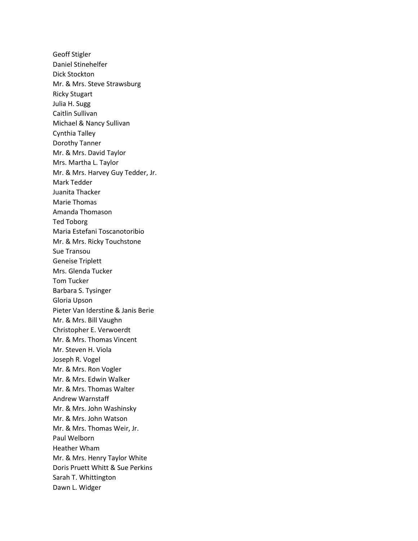Geoff Stigler Daniel Stinehelfer Dick Stockton Mr. & Mrs. Steve Strawsburg Ricky Stugart Julia H. Sugg Caitlin Sullivan Michael & Nancy Sullivan Cynthia Talley Dorothy Tanner Mr. & Mrs. David Taylor Mrs. Martha L. Taylor Mr. & Mrs. Harvey Guy Tedder, Jr. Mark Tedder Juanita Thacker Marie Thomas Amanda Thomason Ted Toborg Maria Estefani Toscanotoribio Mr. & Mrs. Ricky Touchstone Sue Transou Geneise Triplett Mrs. Glenda Tucker Tom Tucker Barbara S. Tysinger Gloria Upson Pieter Van Iderstine & Janis Berie Mr. & Mrs. Bill Vaughn Christopher E. Verwoerdt Mr. & Mrs. Thomas Vincent Mr. Steven H. Viola Joseph R. Vogel Mr. & Mrs. Ron Vogler Mr. & Mrs. Edwin Walker Mr. & Mrs. Thomas Walter Andrew Warnstaff Mr. & Mrs. John Washinsky Mr. & Mrs. John Watson Mr. & Mrs. Thomas Weir, Jr. Paul Welborn Heather Wham Mr. & Mrs. Henry Taylor White Doris Pruett Whitt & Sue Perkins Sarah T. Whittington Dawn L. Widger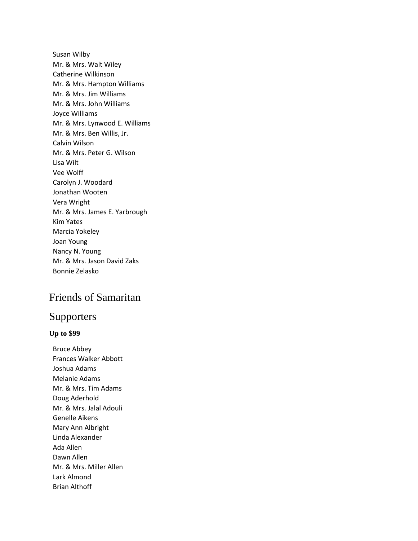Susan Wilby Mr. & Mrs. Walt Wiley Catherine Wilkinson Mr. & Mrs. Hampton Williams Mr. & Mrs. Jim Williams Mr. & Mrs. John Williams Joyce Williams Mr. & Mrs. Lynwood E. Williams Mr. & Mrs. Ben Willis, Jr. Calvin Wilson Mr. & Mrs. Peter G. Wilson Lisa Wilt Vee Wolff Carolyn J. Woodard Jonathan Wooten Vera Wright Mr. & Mrs. James E. Yarbrough Kim Yates Marcia Yokeley Joan Young Nancy N. Young Mr. & Mrs. Jason David Zaks Bonnie Zelasko

# Friends of Samaritan

# Supporters

#### **Up to \$99**

Bruce Abbey Frances Walker Abbott Joshua Adams Melanie Adams Mr. & Mrs. Tim Adams Doug Aderhold Mr. & Mrs. Jalal Adouli Genelle Aikens Mary Ann Albright Linda Alexander Ada Allen Dawn Allen Mr. & Mrs. Miller Allen Lark Almond Brian Althoff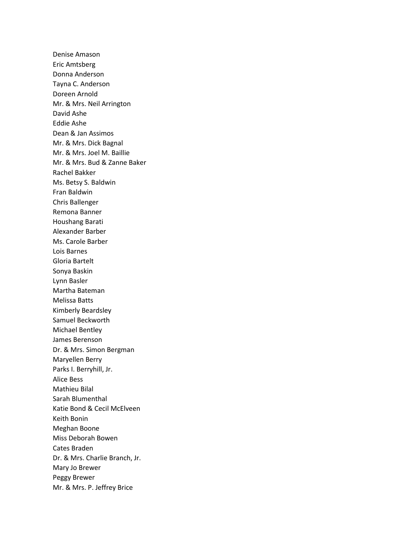Denise Amason Eric Amtsberg Donna Anderson Tayna C. Anderson Doreen Arnold Mr. & Mrs. Neil Arrington David Ashe Eddie Ashe Dean & Jan Assimos Mr. & Mrs. Dick Bagnal Mr. & Mrs. Joel M. Baillie Mr. & Mrs. Bud & Zanne Baker Rachel Bakker Ms. Betsy S. Baldwin Fran Baldwin Chris Ballenger Remona Banner Houshang Barati Alexander Barber Ms. Carole Barber Lois Barnes Gloria Bartelt Sonya Baskin Lynn Basler Martha Bateman Melissa Batts Kimberly Beardsley Samuel Beckworth Michael Bentley James Berenson Dr. & Mrs. Simon Bergman Maryellen Berry Parks I. Berryhill, Jr. Alice Bess Mathieu Bilal Sarah Blumenthal Katie Bond & Cecil McElveen Keith Bonin Meghan Boone Miss Deborah Bowen Cates Braden Dr. & Mrs. Charlie Branch, Jr. Mary Jo Brewer Peggy Brewer Mr. & Mrs. P. Jeffrey Brice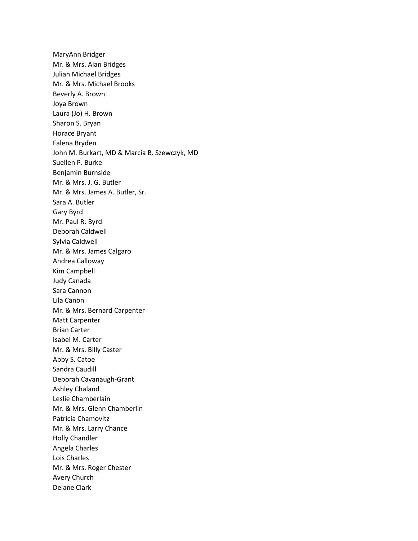MaryAnn Bridger Mr. & Mrs. Alan Bridges Julian Michael Bridges Mr. & Mrs. Michael Brooks Beverly A. Brown Joya Brown Laura (Jo) H. Brown Sharon S. Bryan Horace Bryant Falena Bryden John M. Burkart, MD & Marcia B. Szewczyk, MD Suellen P. Burke Benjamin Burnside Mr. & Mrs. J. G. Butler Mr. & Mrs. James A. Butler, Sr. Sara A. Butler Gary Byrd Mr. Paul R. Byrd Deborah Caldwell Sylvia Caldwell Mr. & Mrs. James Calgaro Andrea Calloway Kim Campbell Judy Canada Sara Cannon Lila Canon Mr. & Mrs. Bernard Carpenter Matt Carpenter Brian Carter Isabel M. Carter Mr. & Mrs. Billy Caster Abby S. Catoe Sandra Caudill Deborah Cavanaugh-Grant Ashley Chaland Leslie Chamberlain Mr. & Mrs. Glenn Chamberlin Patricia Chamovitz Mr. & Mrs. Larry Chance Holly Chandler Angela Charles Lois Charles Mr. & Mrs. Roger Chester Avery Church Delane Clark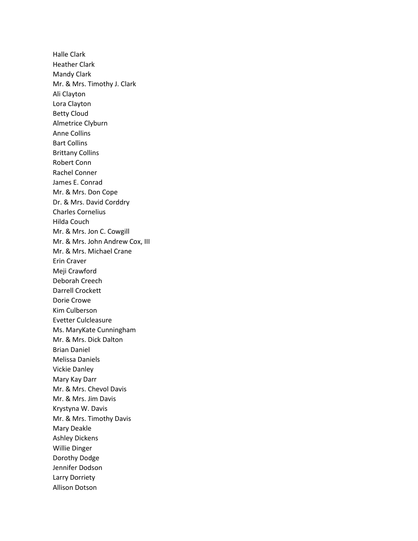Halle Clark Heather Clark Mandy Clark Mr. & Mrs. Timothy J. Clark Ali Clayton Lora Clayton Betty Cloud Almetrice Clyburn Anne Collins Bart Collins Brittany Collins Robert Conn Rachel Conner James E. Conrad Mr. & Mrs. Don Cope Dr. & Mrs. David Corddry Charles Cornelius Hilda Couch Mr. & Mrs. Jon C. Cowgill Mr. & Mrs. John Andrew Cox, III Mr. & Mrs. Michael Crane Erin Craver Meji Crawford Deborah Creech Darrell Crockett Dorie Crowe Kim Culberson Evetter Culcleasure Ms. MaryKate Cunningham Mr. & Mrs. Dick Dalton Brian Daniel Melissa Daniels Vickie Danley Mary Kay Darr Mr. & Mrs. Chevol Davis Mr. & Mrs. Jim Davis Krystyna W. Davis Mr. & Mrs. Timothy Davis Mary Deakle Ashley Dickens Willie Dinger Dorothy Dodge Jennifer Dodson Larry Dorriety Allison Dotson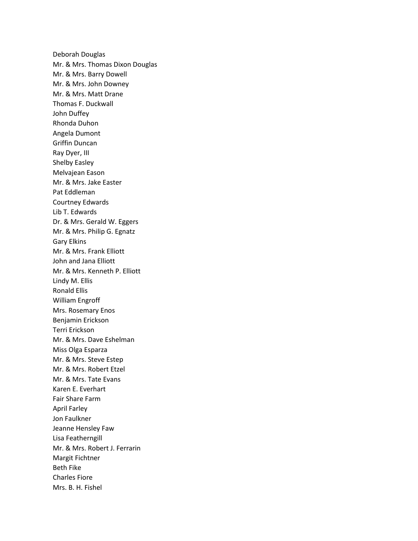Deborah Douglas Mr. & Mrs. Thomas Dixon Douglas Mr. & Mrs. Barry Dowell Mr. & Mrs. John Downey Mr. & Mrs. Matt Drane Thomas F. Duckwall John Duffey Rhonda Duhon Angela Dumont Griffin Duncan Ray Dyer, III Shelby Easley Melvajean Eason Mr. & Mrs. Jake Easter Pat Eddleman Courtney Edwards Lib T. Edwards Dr. & Mrs. Gerald W. Eggers Mr. & Mrs. Philip G. Egnatz Gary Elkins Mr. & Mrs. Frank Elliott John and Jana Elliott Mr. & Mrs. Kenneth P. Elliott Lindy M. Ellis Ronald Ellis William Engroff Mrs. Rosemary Enos Benjamin Erickson Terri Erickson Mr. & Mrs. Dave Eshelman Miss Olga Esparza Mr. & Mrs. Steve Estep Mr. & Mrs. Robert Etzel Mr. & Mrs. Tate Evans Karen E. Everhart Fair Share Farm April Farley Jon Faulkner Jeanne Hensley Faw Lisa Featherngill Mr. & Mrs. Robert J. Ferrarin Margit Fichtner Beth Fike Charles Fiore Mrs. B. H. Fishel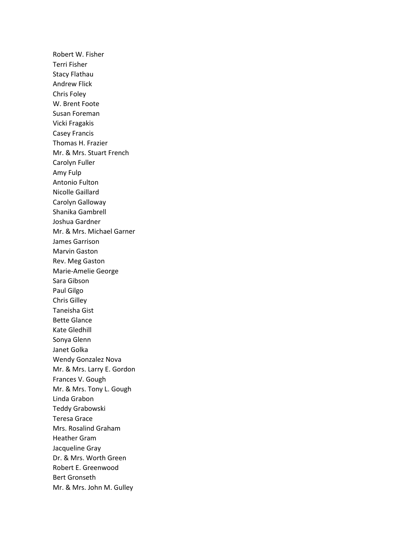Robert W. Fisher Terri Fisher Stacy Flathau Andrew Flick Chris Foley W. Brent Foote Susan Foreman Vicki Fragakis Casey Francis Thomas H. Frazier Mr. & Mrs. Stuart French Carolyn Fuller Amy Fulp Antonio Fulton Nicolle Gaillard Carolyn Galloway Shanika Gambrell Joshua Gardner Mr. & Mrs. Michael Garner James Garrison Marvin Gaston Rev. Meg Gaston Marie-Amelie George Sara Gibson Paul Gilgo Chris Gilley Taneisha Gist Bette Glance Kate Gledhill Sonya Glenn Janet Golka Wendy Gonzalez Nova Mr. & Mrs. Larry E. Gordon Frances V. Gough Mr. & Mrs. Tony L. Gough Linda Grabon Teddy Grabowski Teresa Grace Mrs. Rosalind Graham Heather Gram Jacqueline Gray Dr. & Mrs. Worth Green Robert E. Greenwood Bert Gronseth Mr. & Mrs. John M. Gulley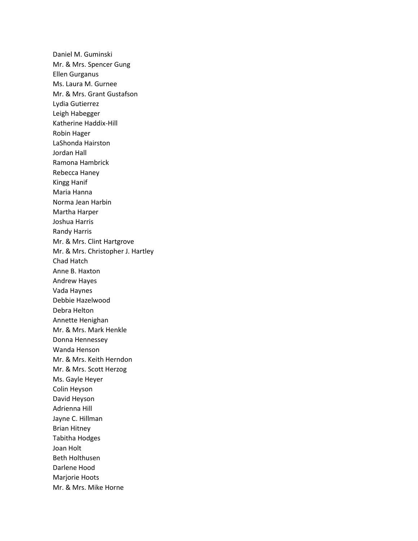Daniel M. Guminski Mr. & Mrs. Spencer Gung Ellen Gurganus Ms. Laura M. Gurnee Mr. & Mrs. Grant Gustafson Lydia Gutierrez Leigh Habegger Katherine Haddix-Hill Robin Hager LaShonda Hairston Jordan Hall Ramona Hambrick Rebecca Haney Kingg Hanif Maria Hanna Norma Jean Harbin Martha Harper Joshua Harris Randy Harris Mr. & Mrs. Clint Hartgrove Mr. & Mrs. Christopher J. Hartley Chad Hatch Anne B. Haxton Andrew Hayes Vada Haynes Debbie Hazelwood Debra Helton Annette Henighan Mr. & Mrs. Mark Henkle Donna Hennessey Wanda Henson Mr. & Mrs. Keith Herndon Mr. & Mrs. Scott Herzog Ms. Gayle Heyer Colin Heyson David Heyson Adrienna Hill Jayne C. Hillman Brian Hitney Tabitha Hodges Joan Holt Beth Holthusen Darlene Hood Marjorie Hoots Mr. & Mrs. Mike Horne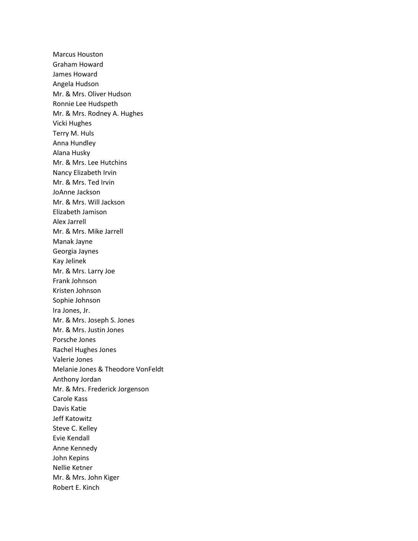Marcus Houston Graham Howard James Howard Angela Hudson Mr. & Mrs. Oliver Hudson Ronnie Lee Hudspeth Mr. & Mrs. Rodney A. Hughes Vicki Hughes Terry M. Huls Anna Hundley Alana Husky Mr. & Mrs. Lee Hutchins Nancy Elizabeth Irvin Mr. & Mrs. Ted Irvin JoAnne Jackson Mr. & Mrs. Will Jackson Elizabeth Jamison Alex Jarrell Mr. & Mrs. Mike Jarrell Manak Jayne Georgia Jaynes Kay Jelinek Mr. & Mrs. Larry Joe Frank Johnson Kristen Johnson Sophie Johnson Ira Jones, Jr. Mr. & Mrs. Joseph S. Jones Mr. & Mrs. Justin Jones Porsche Jones Rachel Hughes Jones Valerie Jones Melanie Jones & Theodore VonFeldt Anthony Jordan Mr. & Mrs. Frederick Jorgenson Carole Kass Davis Katie Jeff Katowitz Steve C. Kelley Evie Kendall Anne Kennedy John Kepins Nellie Ketner Mr. & Mrs. John Kiger Robert E. Kinch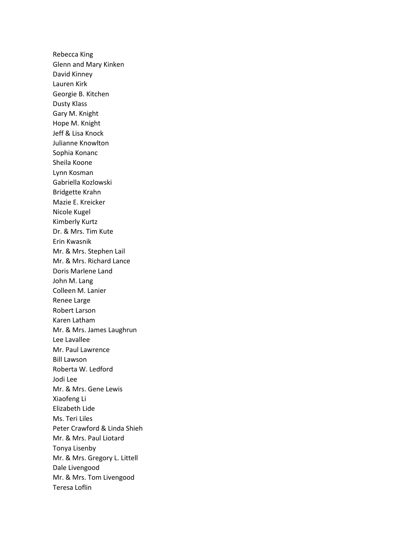Rebecca King Glenn and Mary Kinken David Kinney Lauren Kirk Georgie B. Kitchen Dusty Klass Gary M. Knight Hope M. Knight Jeff & Lisa Knock Julianne Knowlton Sophia Konanc Sheila Koone Lynn Kosman Gabriella Kozlowski Bridgette Krahn Mazie E. Kreicker Nicole Kugel Kimberly Kurtz Dr. & Mrs. Tim Kute Erin Kwasnik Mr. & Mrs. Stephen Lail Mr. & Mrs. Richard Lance Doris Marlene Land John M. Lang Colleen M. Lanier Renee Large Robert Larson Karen Latham Mr. & Mrs. James Laughrun Lee Lavallee Mr. Paul Lawrence Bill Lawson Roberta W. Ledford Jodi Lee Mr. & Mrs. Gene Lewis Xiaofeng Li Elizabeth Lide Ms. Teri Liles Peter Crawford & Linda Shieh Mr. & Mrs. Paul Liotard Tonya Lisenby Mr. & Mrs. Gregory L. Littell Dale Livengood Mr. & Mrs. Tom Livengood Teresa Loflin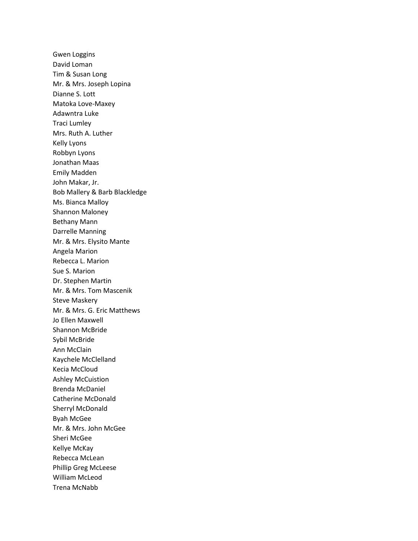Gwen Loggins David Loman Tim & Susan Long Mr. & Mrs. Joseph Lopina Dianne S. Lott Matoka Love-Maxey Adawntra Luke Traci Lumley Mrs. Ruth A. Luther Kelly Lyons Robbyn Lyons Jonathan Maas Emily Madden John Makar, Jr. Bob Mallery & Barb Blackledge Ms. Bianca Malloy Shannon Maloney Bethany Mann Darrelle Manning Mr. & Mrs. Elysito Mante Angela Marion Rebecca L. Marion Sue S. Marion Dr. Stephen Martin Mr. & Mrs. Tom Mascenik Steve Maskery Mr. & Mrs. G. Eric Matthews Jo Ellen Maxwell Shannon McBride Sybil McBride Ann McClain Kaychele McClelland Kecia McCloud Ashley McCuistion Brenda McDaniel Catherine McDonald Sherryl McDonald Byah McGee Mr. & Mrs. John McGee Sheri McGee Kellye McKay Rebecca McLean Phillip Greg McLeese William McLeod Trena McNabb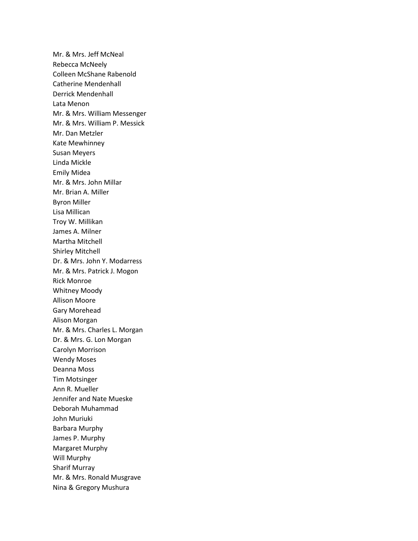Mr. & Mrs. Jeff McNeal Rebecca McNeely Colleen McShane Rabenold Catherine Mendenhall Derrick Mendenhall Lata Menon Mr. & Mrs. William Messenger Mr. & Mrs. William P. Messick Mr. Dan Metzler Kate Mewhinney Susan Meyers Linda Mickle Emily Midea Mr. & Mrs. John Millar Mr. Brian A. Miller Byron Miller Lisa Millican Troy W. Millikan James A. Milner Martha Mitchell Shirley Mitchell Dr. & Mrs. John Y. Modarress Mr. & Mrs. Patrick J. Mogon Rick Monroe Whitney Moody Allison Moore Gary Morehead Alison Morgan Mr. & Mrs. Charles L. Morgan Dr. & Mrs. G. Lon Morgan Carolyn Morrison Wendy Moses Deanna Moss Tim Motsinger Ann R. Mueller Jennifer and Nate Mueske Deborah Muhammad John Muriuki Barbara Murphy James P. Murphy Margaret Murphy Will Murphy Sharif Murray Mr. & Mrs. Ronald Musgrave Nina & Gregory Mushura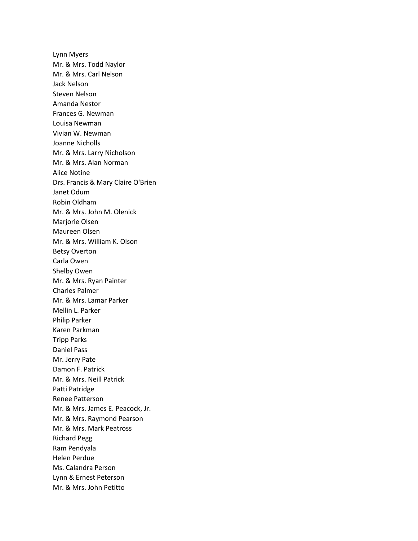Lynn Myers Mr. & Mrs. Todd Naylor Mr. & Mrs. Carl Nelson Jack Nelson Steven Nelson Amanda Nestor Frances G. Newman Louisa Newman Vivian W. Newman Joanne Nicholls Mr. & Mrs. Larry Nicholson Mr. & Mrs. Alan Norman Alice Notine Drs. Francis & Mary Claire O'Brien Janet Odum Robin Oldham Mr. & Mrs. John M. Olenick Marjorie Olsen Maureen Olsen Mr. & Mrs. William K. Olson Betsy Overton Carla Owen Shelby Owen Mr. & Mrs. Ryan Painter Charles Palmer Mr. & Mrs. Lamar Parker Mellin L. Parker Philip Parker Karen Parkman Tripp Parks Daniel Pass Mr. Jerry Pate Damon F. Patrick Mr. & Mrs. Neill Patrick Patti Patridge Renee Patterson Mr. & Mrs. James E. Peacock, Jr. Mr. & Mrs. Raymond Pearson Mr. & Mrs. Mark Peatross Richard Pegg Ram Pendyala Helen Perdue Ms. Calandra Person Lynn & Ernest Peterson Mr. & Mrs. John Petitto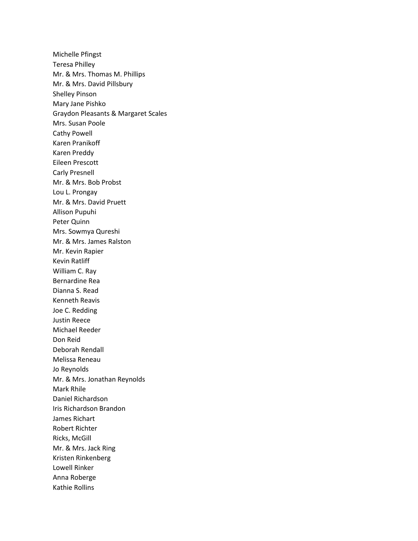Michelle Pfingst Teresa Philley Mr. & Mrs. Thomas M. Phillips Mr. & Mrs. David Pillsbury Shelley Pinson Mary Jane Pishko Graydon Pleasants & Margaret Scales Mrs. Susan Poole Cathy Powell Karen Pranikoff Karen Preddy Eileen Prescott Carly Presnell Mr. & Mrs. Bob Probst Lou L. Prongay Mr. & Mrs. David Pruett Allison Pupuhi Peter Quinn Mrs. Sowmya Qureshi Mr. & Mrs. James Ralston Mr. Kevin Rapier Kevin Ratliff William C. Ray Bernardine Rea Dianna S. Read Kenneth Reavis Joe C. Redding Justin Reece Michael Reeder Don Reid Deborah Rendall Melissa Reneau Jo Reynolds Mr. & Mrs. Jonathan Reynolds Mark Rhile Daniel Richardson Iris Richardson Brandon James Richart Robert Richter Ricks, McGill Mr. & Mrs. Jack Ring Kristen Rinkenberg Lowell Rinker Anna Roberge Kathie Rollins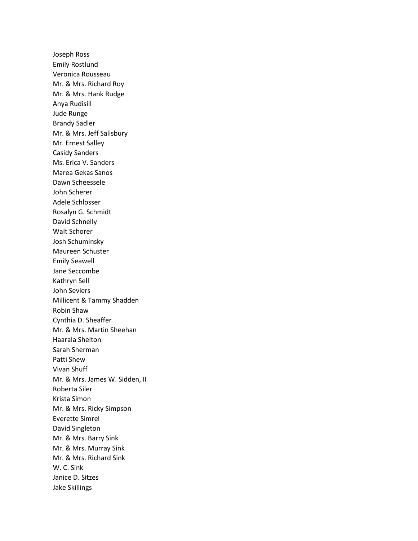Joseph Ross Emily Rostlund Veronica Rousseau Mr. & Mrs. Richard Roy Mr. & Mrs. Hank Rudge Anya Rudisill Jude Runge Brandy Sadler Mr. & Mrs. Jeff Salisbury Mr. Ernest Salley Casidy Sanders Ms. Erica V. Sanders Marea Gekas Sanos Dawn Scheessele John Scherer Adele Schlosser Rosalyn G. Schmidt David Schnelly Walt Schorer Josh Schuminsky Maureen Schuster Emily Seawell Jane Seccombe Kathryn Sell John Seviers Millicent & Tammy Shadden Robin Shaw Cynthia D. Sheaffer Mr. & Mrs. Martin Sheehan Haarala Shelton Sarah Sherman Patti Shew Vivan Shuff Mr. & Mrs. James W. Sidden, II Roberta Siler Krista Simon Mr. & Mrs. Ricky Simpson Everette Simrel David Singleton Mr. & Mrs. Barry Sink Mr. & Mrs. Murray Sink Mr. & Mrs. Richard Sink W. C. Sink Janice D. Sitzes Jake Skillings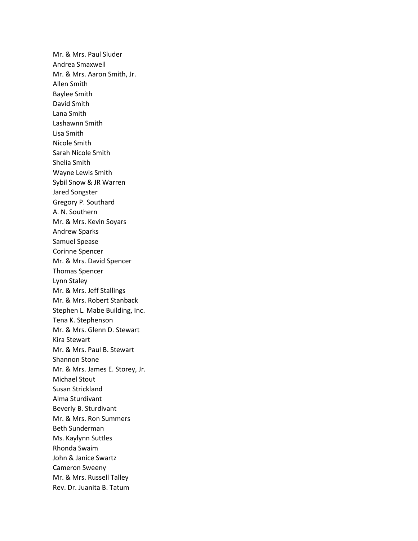Mr. & Mrs. Paul Sluder Andrea Smaxwell Mr. & Mrs. Aaron Smith, Jr. Allen Smith Baylee Smith David Smith Lana Smith Lashawnn Smith Lisa Smith Nicole Smith Sarah Nicole Smith Shelia Smith Wayne Lewis Smith Sybil Snow & JR Warren Jared Songster Gregory P. Southard A. N. Southern Mr. & Mrs. Kevin Soyars Andrew Sparks Samuel Spease Corinne Spencer Mr. & Mrs. David Spencer Thomas Spencer Lynn Staley Mr. & Mrs. Jeff Stallings Mr. & Mrs. Robert Stanback Stephen L. Mabe Building, Inc. Tena K. Stephenson Mr. & Mrs. Glenn D. Stewart Kira Stewart Mr. & Mrs. Paul B. Stewart Shannon Stone Mr. & Mrs. James E. Storey, Jr. Michael Stout Susan Strickland Alma Sturdivant Beverly B. Sturdivant Mr. & Mrs. Ron Summers Beth Sunderman Ms. Kaylynn Suttles Rhonda Swaim John & Janice Swartz Cameron Sweeny Mr. & Mrs. Russell Talley Rev. Dr. Juanita B. Tatum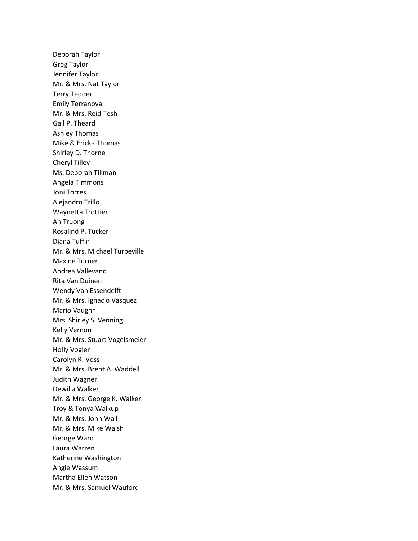Deborah Taylor Greg Taylor Jennifer Taylor Mr. & Mrs. Nat Taylor Terry Tedder Emily Terranova Mr. & Mrs. Reid Tesh Gail P. Theard Ashley Thomas Mike & Ericka Thomas Shirley D. Thorne Cheryl Tilley Ms. Deborah Tillman Angela Timmons Joni Torres Alejandro Trillo Waynetta Trottier An Truong Rosalind P. Tucker Diana Tuffin Mr. & Mrs. Michael Turbeville Maxine Turner Andrea Vallevand Rita Van Duinen Wendy Van Essendelft Mr. & Mrs. Ignacio Vasquez Mario Vaughn Mrs. Shirley S. Venning Kelly Vernon Mr. & Mrs. Stuart Vogelsmeier Holly Vogler Carolyn R. Voss Mr. & Mrs. Brent A. Waddell Judith Wagner Dewilla Walker Mr. & Mrs. George K. Walker Troy & Tonya Walkup Mr. & Mrs. John Wall Mr. & Mrs. Mike Walsh George Ward Laura Warren Katherine Washington Angie Wassum Martha Ellen Watson Mr. & Mrs. Samuel Wauford